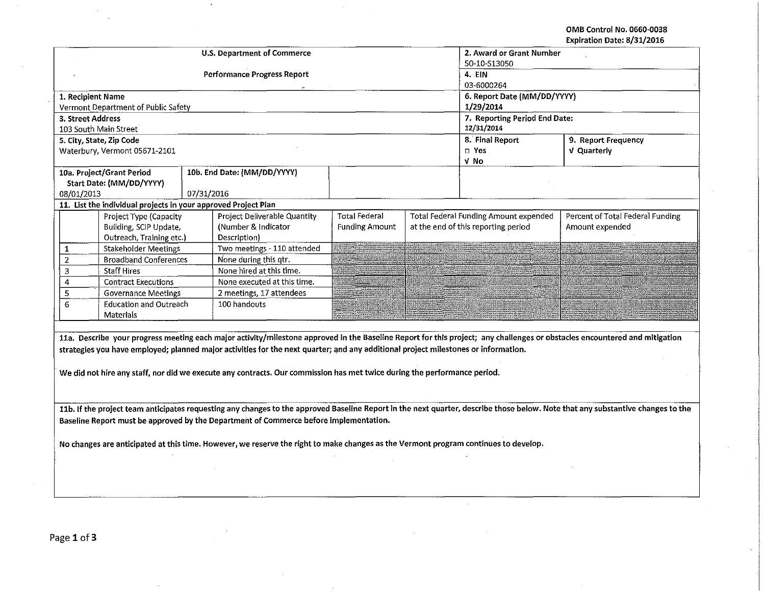OMB Control No. 0660·0038 Expiration Date: 8/31/2016

 $\sim$ 

 $\mathbf{v}$ 

|                                                                                                                                                                                 |                                                                |            | <b>U.S. Department of Commerce</b>                                                                                                 | 2. Award or Grant Number    |                               |                                       |                                                                                                                                                                            |  |  |  |
|---------------------------------------------------------------------------------------------------------------------------------------------------------------------------------|----------------------------------------------------------------|------------|------------------------------------------------------------------------------------------------------------------------------------|-----------------------------|-------------------------------|---------------------------------------|----------------------------------------------------------------------------------------------------------------------------------------------------------------------------|--|--|--|
|                                                                                                                                                                                 |                                                                |            |                                                                                                                                    | 50-10-S13050                |                               |                                       |                                                                                                                                                                            |  |  |  |
|                                                                                                                                                                                 |                                                                |            | <b>Performance Progress Report</b>                                                                                                 | 4. EIN                      |                               |                                       |                                                                                                                                                                            |  |  |  |
|                                                                                                                                                                                 |                                                                |            |                                                                                                                                    | 03-6000264                  |                               |                                       |                                                                                                                                                                            |  |  |  |
| 1. Recipient Name                                                                                                                                                               |                                                                |            |                                                                                                                                    | 6. Report Date (MM/DD/YYYY) |                               |                                       |                                                                                                                                                                            |  |  |  |
|                                                                                                                                                                                 | Vermont Department of Public Safety                            |            |                                                                                                                                    |                             |                               | 1/29/2014                             |                                                                                                                                                                            |  |  |  |
| 3. Street Address                                                                                                                                                               |                                                                |            |                                                                                                                                    |                             | 7. Reporting Period End Date: |                                       |                                                                                                                                                                            |  |  |  |
|                                                                                                                                                                                 | 103 South Main Street                                          |            |                                                                                                                                    | 12/31/2014                  |                               |                                       |                                                                                                                                                                            |  |  |  |
|                                                                                                                                                                                 | 5. City, State, Zip Code                                       |            |                                                                                                                                    |                             |                               | 8. Final Report                       | 9. Report Frequency                                                                                                                                                        |  |  |  |
|                                                                                                                                                                                 | Waterbury, Vermont 05671-2101                                  |            |                                                                                                                                    |                             |                               | □ Yes                                 | V Quarterly                                                                                                                                                                |  |  |  |
|                                                                                                                                                                                 |                                                                |            |                                                                                                                                    |                             |                               | V No                                  |                                                                                                                                                                            |  |  |  |
|                                                                                                                                                                                 | 10a. Project/Grant Period                                      |            | 10b. End Date: (MM/DD/YYYY)                                                                                                        |                             |                               |                                       |                                                                                                                                                                            |  |  |  |
|                                                                                                                                                                                 | Start Date: (MM/DD/YYYY)                                       |            |                                                                                                                                    |                             |                               |                                       |                                                                                                                                                                            |  |  |  |
| 08/01/2013                                                                                                                                                                      |                                                                | 07/31/2016 |                                                                                                                                    |                             |                               |                                       |                                                                                                                                                                            |  |  |  |
|                                                                                                                                                                                 | 11. List the individual projects in your approved Project Plan |            |                                                                                                                                    |                             |                               |                                       |                                                                                                                                                                            |  |  |  |
|                                                                                                                                                                                 | Project Type (Capacity                                         |            | Project Deliverable Quantity                                                                                                       | <b>Total Federal</b>        |                               | Total Federal Funding Amount expended | Percent of Total Federal Funding                                                                                                                                           |  |  |  |
|                                                                                                                                                                                 | Building, SCIP Update,                                         |            | (Number & Indicator                                                                                                                | <b>Funding Amount</b>       |                               | at the end of this reporting period   | Amount expended                                                                                                                                                            |  |  |  |
|                                                                                                                                                                                 | Outreach, Training etc.)                                       |            | Description)                                                                                                                       |                             |                               |                                       |                                                                                                                                                                            |  |  |  |
| 1                                                                                                                                                                               | <b>Stakeholder Meetings</b>                                    |            | Two meetings - 110 attended                                                                                                        |                             |                               |                                       |                                                                                                                                                                            |  |  |  |
| $\overline{2}$                                                                                                                                                                  | <b>Broadband Conferences</b>                                   |            | None during this qtr.                                                                                                              |                             |                               |                                       |                                                                                                                                                                            |  |  |  |
| 3                                                                                                                                                                               | <b>Staff Hires</b>                                             |            | None hired at this time.                                                                                                           |                             |                               |                                       |                                                                                                                                                                            |  |  |  |
| 4                                                                                                                                                                               | <b>Contract Executions</b>                                     |            | None executed at this time.                                                                                                        |                             |                               |                                       |                                                                                                                                                                            |  |  |  |
| 5                                                                                                                                                                               | <b>Governance Meetings</b>                                     |            | 2 meetings, 17 attendees                                                                                                           |                             |                               |                                       |                                                                                                                                                                            |  |  |  |
| 6<br><b>Education and Outreach</b>                                                                                                                                              |                                                                |            | 100 handouts                                                                                                                       |                             |                               |                                       |                                                                                                                                                                            |  |  |  |
| Materials                                                                                                                                                                       |                                                                |            |                                                                                                                                    |                             |                               |                                       |                                                                                                                                                                            |  |  |  |
|                                                                                                                                                                                 |                                                                |            |                                                                                                                                    |                             |                               |                                       |                                                                                                                                                                            |  |  |  |
|                                                                                                                                                                                 |                                                                |            |                                                                                                                                    |                             |                               |                                       | 11a. Describe your progress meeting each major activity/milestone approved in the Baseline Report for this project; any challenges or obstacles encountered and mitigation |  |  |  |
|                                                                                                                                                                                 |                                                                |            | strategies you have employed; planned major activities for the next quarter; and any additional project milestones or information. |                             |                               |                                       |                                                                                                                                                                            |  |  |  |
|                                                                                                                                                                                 |                                                                |            |                                                                                                                                    |                             |                               |                                       |                                                                                                                                                                            |  |  |  |
| We did not hire any staff, nor did we execute any contracts. Our commission has met twice during the performance period.                                                        |                                                                |            |                                                                                                                                    |                             |                               |                                       |                                                                                                                                                                            |  |  |  |
|                                                                                                                                                                                 |                                                                |            |                                                                                                                                    |                             |                               |                                       |                                                                                                                                                                            |  |  |  |
|                                                                                                                                                                                 |                                                                |            |                                                                                                                                    |                             |                               |                                       |                                                                                                                                                                            |  |  |  |
| 11b. If the project team anticipates requesting any changes to the approved Baseline Report in the next quarter, describe those below. Note that any substantive changes to the |                                                                |            |                                                                                                                                    |                             |                               |                                       |                                                                                                                                                                            |  |  |  |
|                                                                                                                                                                                 |                                                                |            |                                                                                                                                    |                             |                               |                                       |                                                                                                                                                                            |  |  |  |
| Baseline Report must be approved by the Department of Commerce before implementation.                                                                                           |                                                                |            |                                                                                                                                    |                             |                               |                                       |                                                                                                                                                                            |  |  |  |
|                                                                                                                                                                                 |                                                                |            |                                                                                                                                    |                             |                               |                                       |                                                                                                                                                                            |  |  |  |
| No changes are anticipated at this time. However, we reserve the right to make changes as the Vermont program continues to develop.                                             |                                                                |            |                                                                                                                                    |                             |                               |                                       |                                                                                                                                                                            |  |  |  |
|                                                                                                                                                                                 |                                                                |            |                                                                                                                                    |                             |                               |                                       |                                                                                                                                                                            |  |  |  |
|                                                                                                                                                                                 |                                                                |            |                                                                                                                                    |                             |                               |                                       |                                                                                                                                                                            |  |  |  |
|                                                                                                                                                                                 |                                                                |            |                                                                                                                                    |                             |                               |                                       |                                                                                                                                                                            |  |  |  |
|                                                                                                                                                                                 |                                                                |            |                                                                                                                                    |                             |                               |                                       |                                                                                                                                                                            |  |  |  |

 $\hat{\mathcal{A}}$ 

 $\cdot$ 

 $\sim$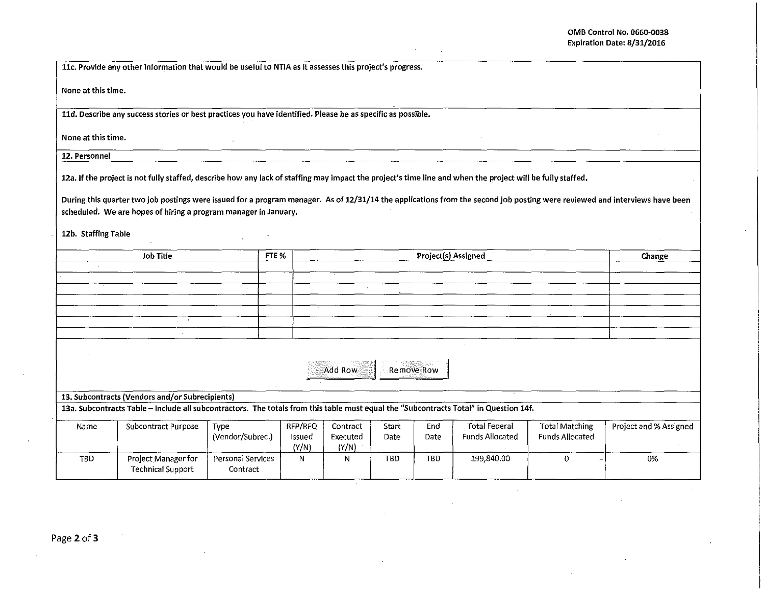llc. Provide any other information that would be useful to NTIA as it assesses this project's progress.

None at this time.

11d. Describe any success stories or best practices you have identified. Please be as specific as possible.

None at this time.

12. Personnel

12a. If the project is not fully staffed, describe how any lack of staffing may impact the project's time line and when the project will be fully staffed.

During this quarter two job postings were issued for a program manager. As of 12/31/14 the applications from the second job posting were reviewed and interviews have been scheduled. We are hopes of hiring a program manager in January.

12b. Staffing Table

| <b>Job Title</b>                                | FTE % | Project(s) Assigned                                                                                                                    | Change |
|-------------------------------------------------|-------|----------------------------------------------------------------------------------------------------------------------------------------|--------|
|                                                 |       |                                                                                                                                        |        |
|                                                 |       |                                                                                                                                        |        |
|                                                 |       |                                                                                                                                        |        |
|                                                 |       |                                                                                                                                        |        |
|                                                 |       |                                                                                                                                        |        |
|                                                 |       |                                                                                                                                        |        |
|                                                 |       |                                                                                                                                        |        |
|                                                 |       |                                                                                                                                        |        |
|                                                 |       |                                                                                                                                        |        |
|                                                 |       | Remove Row<br>Add Row                                                                                                                  |        |
|                                                 |       |                                                                                                                                        |        |
|                                                 |       |                                                                                                                                        |        |
| 13. Subcontracts (Vendors and/or Subrecipients) |       |                                                                                                                                        |        |
|                                                 |       | 13a. Subcontracts Table -- Include all subcontractors. The totals from this table must equal the "Subcontracts Total" in Question 14f. |        |

| Name | Subcontract Purpose                             | Type<br>(Vendor/Subrec.)      | RFP/RFQ<br>Issued<br>(Y/N) | Contract<br>Executed<br>(Y/N) | Start<br>Date | End<br>Date | Total Federal<br><b>Funds Allocated</b> | Total Matching<br><b>Funds Allocated</b> | Project and % Assigned |
|------|-------------------------------------------------|-------------------------------|----------------------------|-------------------------------|---------------|-------------|-----------------------------------------|------------------------------------------|------------------------|
| TBD  | Project Manager for<br><b>Technical Support</b> | Personal Services<br>Contract | N                          | Ν                             | TBD           | <b>TBD</b>  | 199.840.00                              |                                          | 0%                     |